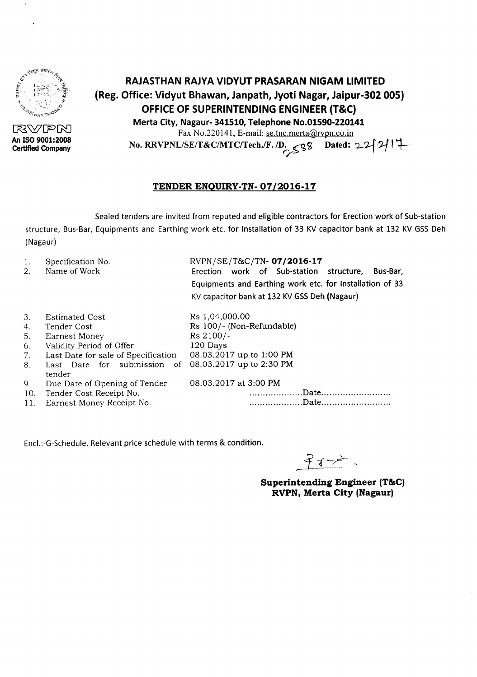

RVPN **An ISO 9001:2008 Certified Company**

# **RAJASTHAN RAJYA VIDYUT PRASARAN NIGAM LIMITED (Reg. Office: Vidyut Bhawan, Janpath, Jyoti Nagar, Jaipur-302 005) OFFICEOF SUPERINTENDING ENGINEER (T&C) Merta City, Nagaur- 341510, Telephone No.01590-220141**

Fax No.220141, E-mail: se.tnc.merta@rvpn.co.in

No. RRVPNL/SE/T&C/MTC/Tech./F. /D.  $<98$  Dated: 22 $\left\{2\right\}$ *o-*

## **TENDER ENQUIRY-TN- 07/2016-17**

Sealed tenders are invited from reputed and eligible contractors for Erection work of Sub-station structure, Bus-Bar, Equipments and Earthing work etc. for Installation of 33 KV capacitor bank at 132 KV GSS Deh (Nagaur)

| Specification No.<br>1.<br>Name of Work<br>2.                                                                                                                                                                                                                                                                                 | RVPN/SE/T&C/TN-07/2016-17<br>Erection work of Sub-station structure,<br>Bus-Bar,<br>Equipments and Earthing work etc. for Installation of 33<br>KV capacitor bank at 132 KV GSS Deh (Nagaur) |
|-------------------------------------------------------------------------------------------------------------------------------------------------------------------------------------------------------------------------------------------------------------------------------------------------------------------------------|----------------------------------------------------------------------------------------------------------------------------------------------------------------------------------------------|
| 3.<br><b>Estimated Cost</b><br>Tender Cost<br>4.<br>5.<br>Earnest Money<br>Validity Period of Offer<br>6.<br>Last Date for sale of Specification<br>7.<br>Last Date for submission<br>$\circ$ of<br>8.<br>tender<br>Due Date of Opening of Tender<br>9.<br>Tender Cost Receipt No.<br>10.<br>Earnest Money Receipt No.<br>11. | Rs 1,04,000.00<br>Rs 100/- (Non-Refundable)<br>Rs 2100/-<br>120 Days<br>08.03.2017 up to 1:00 PM<br>08.03.2017 up to 2:30 PM<br>08.03.2017 at 3:00 PM                                        |

Encl.:-G-Schedule, Relevant price schedule with terms & condition.

**Superintending Engineer (T&C) RVPN, Merta City (Nagaur)**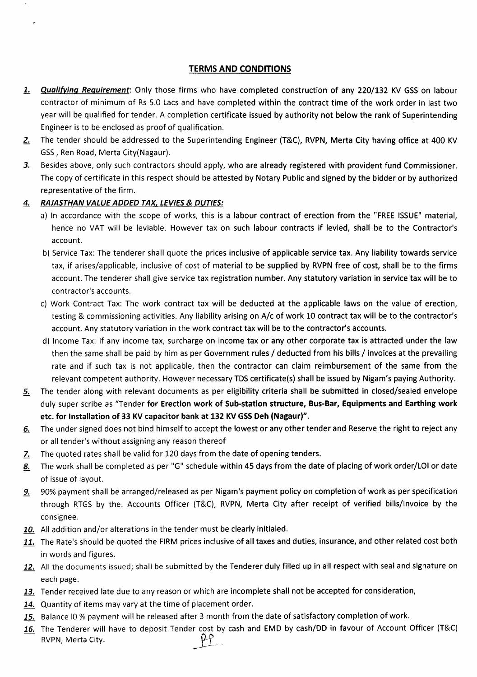### TERMS AND CONDITIONS

- 1. Qualifying Requirement: Only those firms who have completed construction of any 220/132 KV GSS on labour contractor of minimum of Rs 5.0 Lacs and have completed within the contract time of the work order in last two year will be qualified for tender. A completion certificate issued by authority not below the rank of Superintending Engineer is to be enclosed as proof of qualification.
- 2. The tender should be addressed to the Superintending Engineer (T&C), RVPN, Merta City having office at 400 KV GSS, Ren Road, Merta City(Nagaur).
- 3. Besides above, only such contractors should apply, who are already registered with provident fund Commissioner. The copy of certificate in this respect should be attested by Notary Public and signed by the bidder or by authorized representative of the firm.

### *4. RAJASTHAN VALUE ADDED TAX, LEVIES*& *DUTIES:*

- a) In accordance with the scope of works, this is a labour contract of erection from the "FREE ISSUE" material, hence no VAT will be leviable. However tax on such labour contracts if levied, shall be to the Contractor's account.
- b) Service Tax: The tenderer shall quote the prices inclusive of applicable service tax. Any liability towards service tax, if arises/applicable, inclusive of cost of material to be supplied by RVPN free of cost, shall be to the firms account. The tenderer shall give service tax registration number. Any statutory variation in service tax will be to contractor's accounts.
- c) Work Contract Tax: The work contract tax will be deducted at the applicable laws on the value of erection, testing & commissioning activities. Any liability arising on A/c of work 10 contract tax will be to the contractor's account. Any statutory variation in the work contract tax will be to the contractor's accounts.
- d) Income Tax: If any income tax, surcharge on income tax or any other corporate tax is attracted under the law then the same shall be paid by him as per Government rules / deducted from his bills / invoices at the prevailing rate and if such tax is not applicable, then the contractor can claim reimbursement of the same from the relevant competent authority. However necessary TDS certificate(s) shall be issued by Nigam's paying Authority.
- 5. The tender along with relevant documents as per eligibility criteria shall be submitted in closed/sealed envelope duly super scribe as "Tender for Erection work of Sub-station structure, Bus-Bar, Equipments and Earthing work etc. for Installation of 33 KV capacitor bank at 132 KV GSS Deh (Nagaur)".
- 6. The under signed does not bind himself to accept the lowest or any other tender and Reserve the right to reject any or all tender's without assigningany reasonthereof
- 7. The quoted rates shall be valid for 120 days from the date of opening tenders.
- 8. The work shall be completed as per "G" schedule within 45 days from the date of placing of work order/LOI or date of issue of layout.
- 9. 90% payment shall be arranged/released as per Nigam's payment policy on completion of work as per specification through RTGS by the. Accounts Officer (T&C), RVPN, Merta City after receipt of verified bills/Invoice by the consignee.
- 10. All addition and/or alterations in the tender must be clearly initialed.
- 11. The Rate's should be quoted the FIRM prices inclusive of all taxes and duties, insurance, and other related cost both in words and figures.
- 12. All the documents issued; shall be submitted by the Tenderer duly filled up in all respect with seal and signature on each page.
- 13. Tender received late due to any reason or which are incomplete shall not be accepted for consideration,
- 14. Quantity of items may vary at the time of placement order.
- 15. Balance IO % payment will be released after 3 month from the date of satisfactory completion of work.
- The Tenderer will have to deposit Tender cost by cash and EMD by cash/DD in favour of Account Officer (T&C)<br>RVPN, Merta City.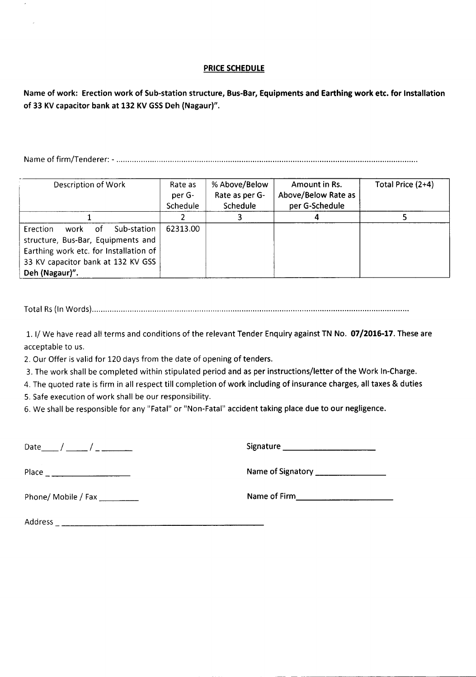#### PRICE SCHEDULE

Name of work: Erection work of Sub-station structure, Bus-Bar, Equipments and Earthing work etc. for Installation of 33 KV capacitor bank at 132 KV GSS Deh (Nagaur)".

Nameof firm/Tenderer: - .

| Description of Work                                                                                                                                                             | Rate as<br>per G-<br>Schedule | % Above/Below<br>Rate as per G-<br>Schedule | Amount in Rs.<br>Above/Below Rate as<br>per G-Schedule | Total Price (2+4) |
|---------------------------------------------------------------------------------------------------------------------------------------------------------------------------------|-------------------------------|---------------------------------------------|--------------------------------------------------------|-------------------|
|                                                                                                                                                                                 |                               |                                             |                                                        |                   |
| Sub-station<br>Erection<br>work<br>- of<br>structure, Bus-Bar, Equipments and<br>Earthing work etc. for Installation of<br>33 KV capacitor bank at 132 KV GSS<br>Deh (Nagaur)". | 62313.00                      |                                             |                                                        |                   |

Total Rs(In Words) .

1. I/ We have read all terms and conditions of the relevant Tender Enquiry against TN No. 07/2016-17. These are acceptable to us.

2. Our Offer is valid for 120 days from the date of opening of tenders.

3. The work shall be completed within stipulated period and as per instructions/letter of the Work In-Charge.

4. The quoted rate is firm in all respect till completion of work including of insurance charges, all taxes & duties

---------------- -- - - - . - - - -----------------

5. Safe execution of work shall be our responsibility.

6. We shall be responsible for any "Fatal" or "Non-Fatal" accident taking place due to our negligence.

Date\_\_ / \_\_ / \_ Signature \_

Place Nameof Signatory \_

Phone/ Mobile / Fax \_ Nameof Firm \_

Address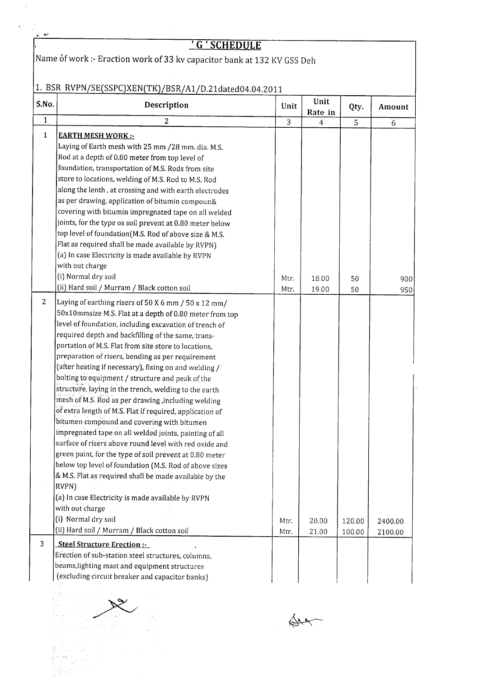|              | <u>' G ' SCHEDULE</u>                                                                                                                                                                                                                                                                                                                                                                                                                                                                                                                                                                                                                                                                                                                                                                                                                                                                                                                                                                                                                                                                |                |                 |                  |                    |  |  |  |
|--------------|--------------------------------------------------------------------------------------------------------------------------------------------------------------------------------------------------------------------------------------------------------------------------------------------------------------------------------------------------------------------------------------------------------------------------------------------------------------------------------------------------------------------------------------------------------------------------------------------------------------------------------------------------------------------------------------------------------------------------------------------------------------------------------------------------------------------------------------------------------------------------------------------------------------------------------------------------------------------------------------------------------------------------------------------------------------------------------------|----------------|-----------------|------------------|--------------------|--|--|--|
|              | Name of work :- Eraction work of 33 kv capacitor bank at 132 KV GSS Deh                                                                                                                                                                                                                                                                                                                                                                                                                                                                                                                                                                                                                                                                                                                                                                                                                                                                                                                                                                                                              |                |                 |                  |                    |  |  |  |
|              | 1. BSR RVPN/SE(SSPC)XEN(TK)/BSR/A1/D.21dated04.04.2011                                                                                                                                                                                                                                                                                                                                                                                                                                                                                                                                                                                                                                                                                                                                                                                                                                                                                                                                                                                                                               |                |                 |                  |                    |  |  |  |
| S.No.        | Description                                                                                                                                                                                                                                                                                                                                                                                                                                                                                                                                                                                                                                                                                                                                                                                                                                                                                                                                                                                                                                                                          | Unit           | Unit<br>Rate in | Qty.             | Amount             |  |  |  |
| $\mathbf{1}$ | $\overline{2}$                                                                                                                                                                                                                                                                                                                                                                                                                                                                                                                                                                                                                                                                                                                                                                                                                                                                                                                                                                                                                                                                       | $\overline{3}$ | $\overline{4}$  | 5                | 6                  |  |  |  |
| $\mathbf{1}$ | <b>EARTH MESH WORK:-</b><br>Laying of Earth mesh with 25 mm /28 mm. dia. M.S.<br>Rod at a depth of 0.80 meter from top level of<br>foundation, transportation of M.S. Rods from site<br>store to locations, welding of M.S. Rod to M.S. Rod<br>along the lenth, at crossing and with earth electrodes<br>as per drawing, application of bitumin compoun&<br>covering with bitumin impregnated tape on all welded<br>joints, for the type os soil prevent at 0.80 meter below<br>top level of foundation(M.S. Rod of above size & M.S.<br>Flat as required shall be made available by RVPN)<br>(a) In case Electricity is made available by RVPN<br>with out charge                                                                                                                                                                                                                                                                                                                                                                                                                   |                |                 |                  |                    |  |  |  |
|              | (i) Normal dry soil                                                                                                                                                                                                                                                                                                                                                                                                                                                                                                                                                                                                                                                                                                                                                                                                                                                                                                                                                                                                                                                                  | Mtr.           | 18.00           | 50               | 900                |  |  |  |
|              | (ii) Hard soil / Murram / Black cotton soil                                                                                                                                                                                                                                                                                                                                                                                                                                                                                                                                                                                                                                                                                                                                                                                                                                                                                                                                                                                                                                          | Mtr.           | 19.00           | 50               | 950                |  |  |  |
|              | 50x10mmsize M.S. Flat at a depth of 0.80 meter from top<br>level of foundation, including excavation of trench of<br>required depth and backfilling of the same, trans-<br>portation of M.S. Flat from site store to locations,<br>preparation of risers, bending as per requirement<br>(after heating if necessary), fixing on and welding /<br>bolting to equipment / structure and peak of the<br>structure, laying in the trench, welding to the earth<br>mesh of M.S. Rod as per drawing, including welding<br>of extra length of M.S. Flat if required, application of<br>bitumen compound and covering with bitumen<br>impregnated tape on all welded joints, painting of all<br>surface of risers above round level with red oxide and<br>green paint, for the type of soil prevent at 0.80 meter<br>below top level of foundation (M.S. Rod of above sizes<br>& M.S. Flat as required shall be made available by the<br>RVPN)<br>(a) In case Electricity is made available by RVPN<br>with out charge<br>(i) Normal dry soil<br>(ii) Hard soil / Murram / Black cotton soil | Mtr.<br>Mtr.   | 20.00<br>21.00  | 120.00<br>100.00 | 2400.00<br>2100.00 |  |  |  |
| 3            | <b>Steel Structure Erection:-</b><br>Erection of sub-station steel structures, columns,<br>beams, lighting mast and equipment structures<br>(excluding circuit breaker and capacitor banks)                                                                                                                                                                                                                                                                                                                                                                                                                                                                                                                                                                                                                                                                                                                                                                                                                                                                                          |                |                 |                  |                    |  |  |  |
|              |                                                                                                                                                                                                                                                                                                                                                                                                                                                                                                                                                                                                                                                                                                                                                                                                                                                                                                                                                                                                                                                                                      |                |                 |                  |                    |  |  |  |

 $\mathcal{A}^{\mathcal{A}}$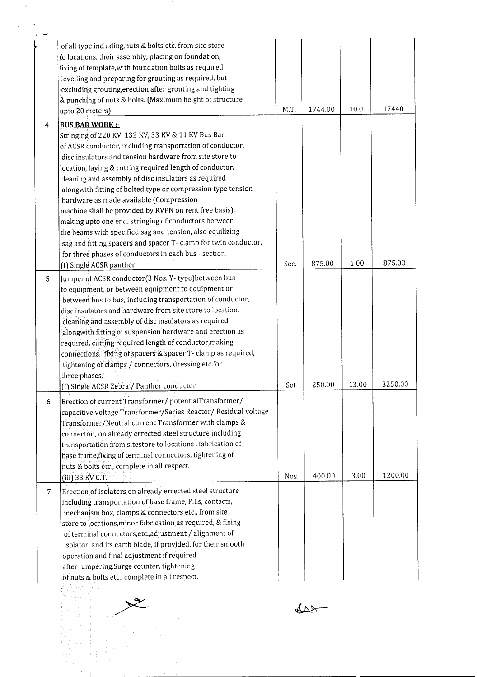|   | of all type including, nuts & bolts etc. from site store<br>to locations, their assembly, placing on foundation,<br>fixing of template, with foundation bolts as required,<br>levelling and preparing for grouting as required, but<br>excluding grouting, erection after grouting and tighting<br>& punching of nuts & bolts. (Maximum height of structure<br>upto 20 meters)                                                                                                                                                                                                                                                                                                                                       | M.T. | 1744.00 | 10.0  | 17440   |
|---|----------------------------------------------------------------------------------------------------------------------------------------------------------------------------------------------------------------------------------------------------------------------------------------------------------------------------------------------------------------------------------------------------------------------------------------------------------------------------------------------------------------------------------------------------------------------------------------------------------------------------------------------------------------------------------------------------------------------|------|---------|-------|---------|
| 4 | <b>BUS BAR WORK:</b>                                                                                                                                                                                                                                                                                                                                                                                                                                                                                                                                                                                                                                                                                                 |      |         |       |         |
|   | Stringing of 220 KV, 132 KV, 33 KV & 11 KV Bus Bar<br>of ACSR conductor, including transportation of conductor,<br>disc insulators and tension hardware from site store to<br>location, laying & cutting required length of conductor,<br>cleaning and assembly of disc insulators as required<br>alongwith fitting of bolted type or compression type tension<br>hardware as made available (Compression<br>machine shall be provided by RVPN on rent free basis),<br>making upto one end, stringing of conductors between<br>the beams with specified sag and tension, also equilizing<br>sag and fitting spacers and spacer T- clamp for twin conductor,<br>for three phases of conductors in each bus - section. |      |         |       |         |
|   | (I) Single ACSR panther                                                                                                                                                                                                                                                                                                                                                                                                                                                                                                                                                                                                                                                                                              | Sec. | 875.00  | 1.00  | 875.00  |
|   | to equipment, or between equipment to equipment or<br>between bus to bus, including transportation of conductor,<br>disc insulators and hardware from site store to location,<br>cleaning and assembly of disc insulators as required<br>alongwith fitting of suspension hardware and erection as<br>required, cutting required length of conductor, making<br>connections, fixing of spacers & spacer T- clamp as required,<br>tightening of clamps / connectors, dressing etc.for<br>three phases.<br>(I) Single ACSR Zebra / Panther conductor                                                                                                                                                                    | Set  | 250.00  | 13.00 | 3250.00 |
|   | Erection of current Transformer/potentialTransformer/                                                                                                                                                                                                                                                                                                                                                                                                                                                                                                                                                                                                                                                                |      |         |       |         |
| 6 | capacitive voltage Transformer/Series Reactor/ Residual voltage<br>Transformer/Neutral current Transformer with clamps &<br>connector, on already errected steel structure including<br>transportation from sitestore to locations, fabrication of<br>base frame, fixing of terminal connectors, tightening of<br>nuts & bolts etc., complete in all respect.<br>(iii) 33 KV C.T.                                                                                                                                                                                                                                                                                                                                    | Nos. | 400.00  | 3.00  | 1200.00 |
| 7 | Erection of Isolators on already errected steel structure<br>including transportation of base frame, P.I.s, contacts,<br>mechanism box, clamps & connectors etc., from site<br>store to locations, minor fabrication as required, & fixing<br>of terminal connectors, etc., adjustment / alignment of<br>isolator and its earth blade, if provided, for their smooth<br>operation and final adjustment if required<br>after jumpering.Surge counter, tightening<br>of nuts & bolts etc., complete in all respect.                                                                                                                                                                                                    |      |         |       |         |
|   |                                                                                                                                                                                                                                                                                                                                                                                                                                                                                                                                                                                                                                                                                                                      |      |         |       |         |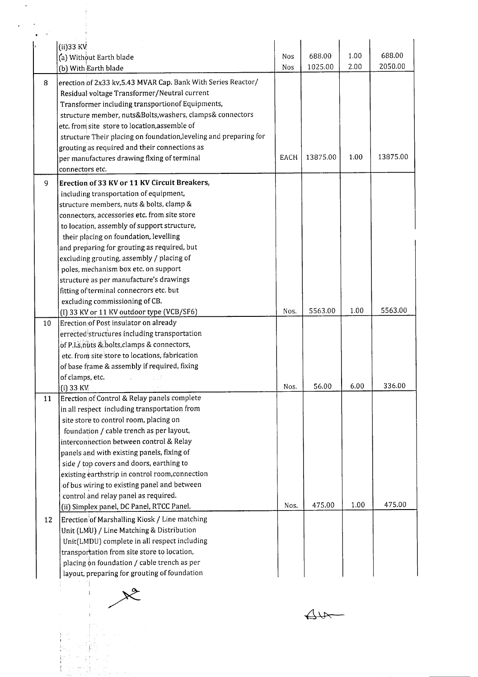|    | $(ii)$ 33 KV                                                                |      | 688.00   | 1.00 | 688.00   |
|----|-----------------------------------------------------------------------------|------|----------|------|----------|
|    | (a) Without Earth blade                                                     | Nos  | 1025.00  | 2.00 | 2050.00  |
|    | (b) With Earth blade                                                        | Nos  |          |      |          |
| 8  | erection of 2x33 kv, 5.43 MVAR Cap. Bank With Series Reactor/               |      |          |      |          |
|    | Residual voltage Transformer/Neutral current                                |      |          |      |          |
|    | Transformer including transportionof Equipments,                            |      |          |      |          |
|    | structure member, nuts&Bolts, washers, clamps& connectors                   |      |          |      |          |
|    | etc. from site store to location, assemble of                               |      |          |      |          |
|    | structure Their placing on foundation, leveling and preparing for           |      |          |      |          |
|    | grouting as required and their connections as                               |      |          | 1.00 | 13875.00 |
|    | per manufactures drawing flxing of terminal                                 | EACH | 13875.00 |      |          |
|    | connectors etc.                                                             |      |          |      |          |
| 9  | Erection of 33 KV or 11 KV Circuit Breakers,                                |      |          |      |          |
|    | including transportation of equipment,                                      |      |          |      |          |
|    | structure members, nuts & bolts, clamp &                                    |      |          |      |          |
|    | connectors, accessories etc. from site store                                |      |          |      |          |
|    | to location, assembly of support structure,                                 |      |          |      |          |
|    | their placing on foundation, levelling                                      |      |          |      |          |
|    | and preparing for grouting as required, but                                 |      |          |      |          |
|    | excluding grouting, assembly / placing of                                   |      |          |      |          |
|    | poles, mechanism box etc. on support                                        |      |          |      |          |
|    | structure as per manufacture's drawings                                     |      |          |      |          |
|    | fitting of terminal connecrors etc. but                                     |      |          |      |          |
|    | excluding commissioning of CB.<br>(I) 33 KV or 11 KV outdoor type (VCB/SF6) | Nos. | 5563.00  | 1.00 | 5563.00  |
| 10 | Erection of Post insulator on already                                       |      |          |      |          |
|    | errected structures including transportation                                |      |          |      |          |
|    | of P.I.s, nuts & bolts, clamps & connectors,                                |      |          |      |          |
|    | etc. from site store to locations, fabrication                              |      |          |      |          |
|    | of base frame & assembly if required, fixing                                |      |          |      |          |
|    | of clamps, etc.                                                             |      |          |      |          |
|    | $(i)$ 33 KV                                                                 | Nos. | 56.00    | 6.00 | 336.00   |
| 11 | Erection of Control & Relay panels complete                                 |      |          |      |          |
|    | in all respect including transportation from                                |      |          |      |          |
|    | site store to control room, placing on                                      |      |          |      |          |
|    | foundation / cable trench as per layout,                                    |      |          |      |          |
|    | interconnection between control & Relay                                     |      |          |      |          |
|    | panels and with existing panels, fixing of                                  |      |          |      |          |
|    | side / top covers and doors, earthing to                                    |      |          |      |          |
|    | existing earthstrip in control room, connection                             |      |          |      |          |
|    | of bus wiring to existing panel and between                                 |      |          |      |          |
|    | control and relay panel as required.                                        |      |          |      |          |
|    | (ii) Simplex panel, DC Panel, RTCC Panel,                                   | Nos. | 475.00   | 1.00 | 475.00   |
| 12 | Erection of Marshalling Kiosk / Line matching                               |      |          |      |          |
|    | Unit (LMU) / Line Matching & Distribution                                   |      |          |      |          |
|    | Unit(LMDU) complete in all respect including                                |      |          |      |          |
|    | transportation from site store to location,                                 |      |          |      |          |
|    | placing on foundation / cable trench as per                                 |      |          |      |          |
|    | layout, preparing for grouting of foundation                                |      |          |      |          |



Aux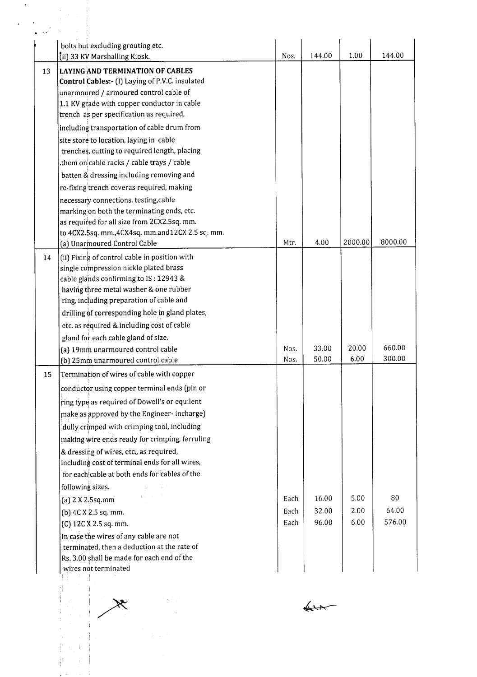|    | bolts but excluding grouting etc.<br>tii) 33 KV Marshalling Kiosk.                         | Nos. | 144.00 | 1.00    | 144.00  |
|----|--------------------------------------------------------------------------------------------|------|--------|---------|---------|
| 13 | <b>LAYING AND TERMINATION OF CABLES</b><br>Control Cables:- (I) Laying of P.V.C. insulated |      |        |         |         |
|    | unarmoured / armoured control cable of                                                     |      |        |         |         |
|    | 1.1 KV grade with copper conductor in cable                                                |      |        |         |         |
|    | trench as per specification as required,                                                   |      |        |         |         |
|    | including transportation of cable drum from                                                |      |        |         |         |
|    | site store to location, laying in cable                                                    |      |        |         |         |
|    | trenches, cutting to required length, placing                                              |      |        |         |         |
|    | them on cable racks / cable trays / cable.                                                 |      |        |         |         |
|    | batten & dressing including removing and                                                   |      |        |         |         |
|    | re-fixing trench coveras required, making                                                  |      |        |         |         |
|    | necessary connections, testing, cable                                                      |      |        |         |         |
|    | marking on both the terminating ends, etc.                                                 |      |        |         |         |
|    | as required for all size from 2CX2.5sq. mm.                                                |      |        |         |         |
|    | to 4CX2.5sq. mm., 4CX4sq. mm.and12CX 2.5 sq. mm.                                           |      |        |         |         |
|    | (a) Unarmoured Control Cable                                                               | Mtr. | 4.00   | 2000.00 | 8000.00 |
| 14 | (ii) Fixing of control cable in position with                                              |      |        |         |         |
|    | single compression nickle plated brass                                                     |      |        |         |         |
|    | cable glands confirming to IS: 12943 &                                                     |      |        |         |         |
|    | having three metal washer & one rubber                                                     |      |        |         |         |
|    | ring, including preparation of cable and                                                   |      |        |         |         |
|    | drilling of corresponding hole in gland plates,                                            |      |        |         |         |
|    | etc. as required & including cost of cable                                                 |      |        |         |         |
|    | gland for each cable gland of size.                                                        |      |        |         |         |
|    | (a) 19mm unarmoured control cable                                                          | Nos. | 33.00  | 20.00   | 660.00  |
|    | (b) 25mm unarmoured control cable                                                          | Nos. | 50.00  | 6.00    | 300.00  |
| 15 | Termination of wires of cable with copper                                                  |      |        |         |         |
|    | conductor using copper terminal ends (pin or                                               |      |        |         |         |
|    | ring type as required of Dowell's or equilent                                              |      |        |         |         |
|    |                                                                                            |      |        |         |         |
|    | make as approved by the Engineer-incharge)                                                 |      |        |         |         |
|    | dully crimped with crimping tool, including                                                |      |        |         |         |
|    | making wire ends ready for crimping, ferruling                                             |      |        |         |         |
|    | & dressing of wires, etc., as required,                                                    |      |        |         |         |
|    | including cost of terminal ends for all wires,                                             |      |        |         |         |
|    | for each cable at both ends for cables of the                                              |      |        |         |         |
|    | following sizes.<br>医心脏 电电子管                                                               |      |        |         |         |
|    | (a) $2 \times 2.5$ sq.mm                                                                   | Each | 16.00  | 5.00    | 80      |
|    | (b) 4C X 2.5 sq. mm.                                                                       | Each | 32.00  | 2.00    | 64.00   |
|    | (C) 12C X 2.5 sq. mm.                                                                      | Each | 96.00  | 6.00    | 576.00  |
|    | In case the wires of any cable are not                                                     |      |        |         |         |
|    | terminated, then a deduction at the rate of                                                |      |        |         |         |
|    | Rs. 3.00 shall be made for each end of the                                                 |      |        |         |         |
|    | wires not terminated                                                                       |      |        |         |         |
|    |                                                                                            |      |        |         |         |
|    |                                                                                            |      |        |         |         |
|    |                                                                                            |      |        |         |         |
|    |                                                                                            |      |        |         |         |
|    |                                                                                            |      |        |         |         |
|    |                                                                                            |      |        |         |         |
|    |                                                                                            |      |        |         |         |